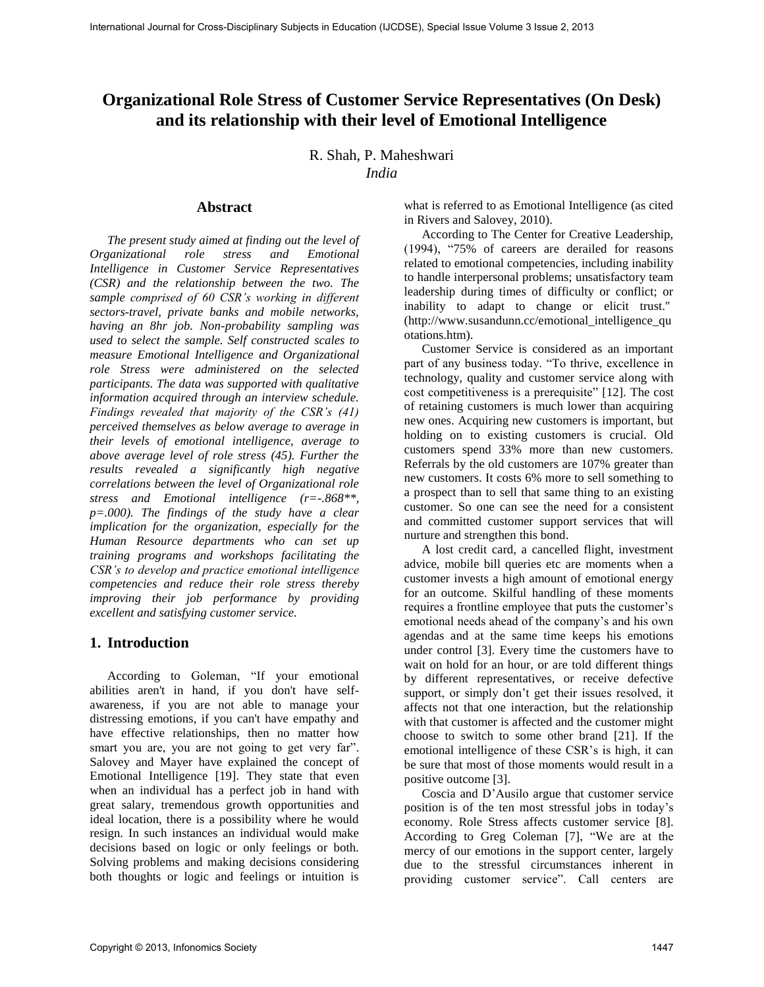# **Organizational Role Stress of Customer Service Representatives (On Desk) and its relationship with their level of Emotional Intelligence**

R. Shah, P. Maheshwari *India* 

#### **Abstract**

*The present study aimed at finding out the level of Organizational role stress and Emotional Intelligence in Customer Service Representatives (CSR) and the relationship between the two. The sample comprised of 60 CSR's working in different sectors-travel, private banks and mobile networks, having an 8hr job. Non-probability sampling was used to select the sample. Self constructed scales to measure Emotional Intelligence and Organizational role Stress were administered on the selected participants. The data was supported with qualitative information acquired through an interview schedule. Findings revealed that majority of the CSR's (41) perceived themselves as below average to average in their levels of emotional intelligence, average to above average level of role stress (45). Further the results revealed a significantly high negative correlations between the level of Organizational role stress and Emotional intelligence (r=-.868\*\*, p=.000). The findings of the study have a clear implication for the organization, especially for the Human Resource departments who can set up training programs and workshops facilitating the CSR's to develop and practice emotional intelligence competencies and reduce their role stress thereby improving their job performance by providing excellent and satisfying customer service.*  International Journal for Cross-Discipling Vignorities Concerned Subjects in the Cross-Disciplinary Concerned Subjects in the Cross-Disciplinary Concerned Subjects in the Cross-Disciplinary Concerned Subjects in Equation

# **1. Introduction**

According to Goleman, "If your emotional abilities aren't in hand, if you don't have selfawareness, if you are not able to manage your distressing emotions, if you can't have empathy and have effective relationships, then no matter how smart you are, you are not going to get very far". Salovey and Mayer have explained the concept of Emotional Intelligence [19]. They state that even when an individual has a perfect job in hand with great salary, tremendous growth opportunities and ideal location, there is a possibility where he would resign. In such instances an individual would make decisions based on logic or only feelings or both. Solving problems and making decisions considering both thoughts or logic and feelings or intuition is

what is referred to as Emotional Intelligence (as cited in Rivers and Salovey, 2010).

According to The Center for Creative Leadership, (1994), "75% of careers are derailed for reasons related to emotional competencies, including inability to handle interpersonal problems; unsatisfactory team leadership during times of difficulty or conflict; or inability to adapt to change or elicit trust." [\(http://www.susandunn.cc/emotional\\_intelligence\\_qu](http://www.susandunn.cc/emotional_intelligence_quotations.htm) otations.htm).

Customer Service is considered as an important part of any business today. "To thrive, excellence in technology, quality and customer service along with cost competitiveness is a prerequisite" [12]. The cost of retaining customers is much lower than acquiring new ones. Acquiring new customers is important, but holding on to existing customers is crucial. Old customers spend 33% more than new customers. Referrals by the old customers are 107% greater than new customers. It costs 6% more to sell something to a prospect than to sell that same thing to an existing customer. So one can see the need for a consistent and committed customer support services that will nurture and strengthen this bond.

A lost credit card, a cancelled flight, investment advice, mobile bill queries etc are moments when a customer invests a high amount of emotional energy for an outcome. Skilful handling of these moments requires a frontline employee that puts the customer's emotional needs ahead of the company's and his own agendas and at the same time keeps his emotions under control [3]. Every time the customers have to wait on hold for an hour, or are told different things by different representatives, or receive defective support, or simply don't get their issues resolved, it affects not that one interaction, but the relationship with that customer is affected and the customer might choose to switch to some other brand [21]. If the emotional intelligence of these CSR's is high, it can be sure that most of those moments would result in a positive outcome [3].

Coscia and D'Ausilo argue that customer service position is of the ten most stressful jobs in today's economy. Role Stress affects customer service [8]. According to Greg Coleman [7], "We are at the mercy of our emotions in the support center, largely due to the stressful circumstances inherent in providing customer service". Call centers are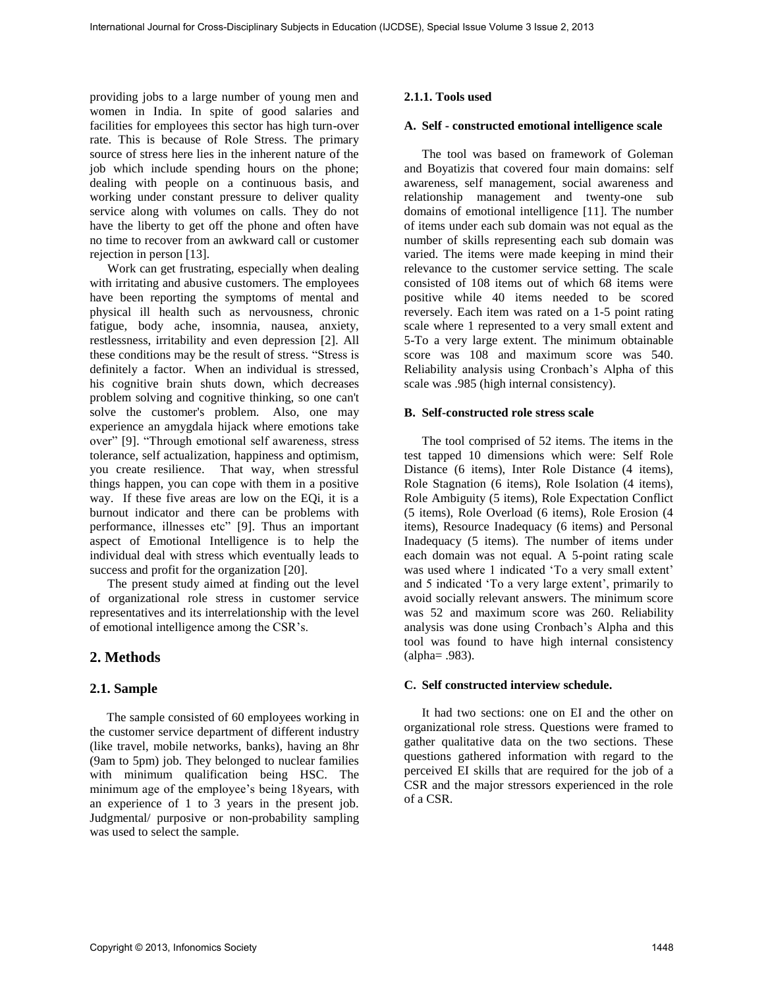providing jobs to a large number of young men and women in India. In spite of good salaries and facilities for employees this sector has high turn-over rate. This is because of Role Stress. The primary source of stress here lies in the inherent nature of the job which include spending hours on the phone; dealing with people on a continuous basis, and working under constant pressure to deliver quality service along with volumes on calls. They do not have the liberty to get off the phone and often have no time to recover from an awkward call or customer rejection in person [13].

Work can get frustrating, especially when dealing with irritating and abusive customers. The employees have been reporting the symptoms of mental and physical ill health such as nervousness, chronic fatigue, body ache, insomnia, nausea, anxiety, restlessness, irritability and even depression [2]. All these conditions may be the result of stress. "Stress is definitely a factor. When an individual is stressed, his cognitive brain shuts down, which decreases problem solving and cognitive thinking, so one can't solve the customer's problem. Also, one may experience an amygdala hijack where emotions take over" [9]. "Through emotional self awareness, stress tolerance, self actualization, happiness and optimism, you create resilience. That way, when stressful things happen, you can cope with them in a positive way. If these five areas are low on the EQi, it is a burnout indicator and there can be problems with performance, illnesses etc" [9]. Thus an important aspect of Emotional Intelligence is to help the individual deal with stress which eventually leads to success and profit for the organization [20]. International Journal for the Society Subpolar International Journal Towards and Cross-Disciplinary Subjects in Eq. 2013<br>
Subjects in Education (III) the of Soci of Collection (III) the special Action (III) the special In

The present study aimed at finding out the level of organizational role stress in customer service representatives and its interrelationship with the level of emotional intelligence among the CSR's.

# **2. Methods**

# **2.1. Sample**

The sample consisted of 60 employees working in the customer service department of different industry (like travel, mobile networks, banks), having an 8hr (9am to 5pm) job. They belonged to nuclear families with minimum qualification being HSC. The minimum age of the employee's being 18years, with an experience of 1 to 3 years in the present job. Judgmental/ purposive or non-probability sampling was used to select the sample.

#### **2.1.1. Tools used**

#### **A. Self - constructed emotional intelligence scale**

The tool was based on framework of Goleman and Boyatizis that covered four main domains: self awareness, self management, social awareness and relationship management and twenty-one sub domains of emotional intelligence [11]. The number of items under each sub domain was not equal as the number of skills representing each sub domain was varied. The items were made keeping in mind their relevance to the customer service setting. The scale consisted of 108 items out of which 68 items were positive while 40 items needed to be scored reversely. Each item was rated on a 1-5 point rating scale where 1 represented to a very small extent and 5-To a very large extent. The minimum obtainable score was 108 and maximum score was 540. Reliability analysis using Cronbach's Alpha of this scale was .985 (high internal consistency).

#### **B. Self-constructed role stress scale**

The tool comprised of 52 items. The items in the test tapped 10 dimensions which were: Self Role Distance (6 items), Inter Role Distance (4 items), Role Stagnation (6 items), Role Isolation (4 items), Role Ambiguity (5 items), Role Expectation Conflict (5 items), Role Overload (6 items), Role Erosion (4 items), Resource Inadequacy (6 items) and Personal Inadequacy (5 items). The number of items under each domain was not equal. A 5-point rating scale was used where 1 indicated 'To a very small extent' and 5 indicated 'To a very large extent', primarily to avoid socially relevant answers. The minimum score was 52 and maximum score was 260. Reliability analysis was done using Cronbach's Alpha and this tool was found to have high internal consistency (alpha= .983).

#### **C. Self constructed interview schedule.**

It had two sections: one on EI and the other on organizational role stress. Questions were framed to gather qualitative data on the two sections. These questions gathered information with regard to the perceived EI skills that are required for the job of a CSR and the major stressors experienced in the role of a CSR.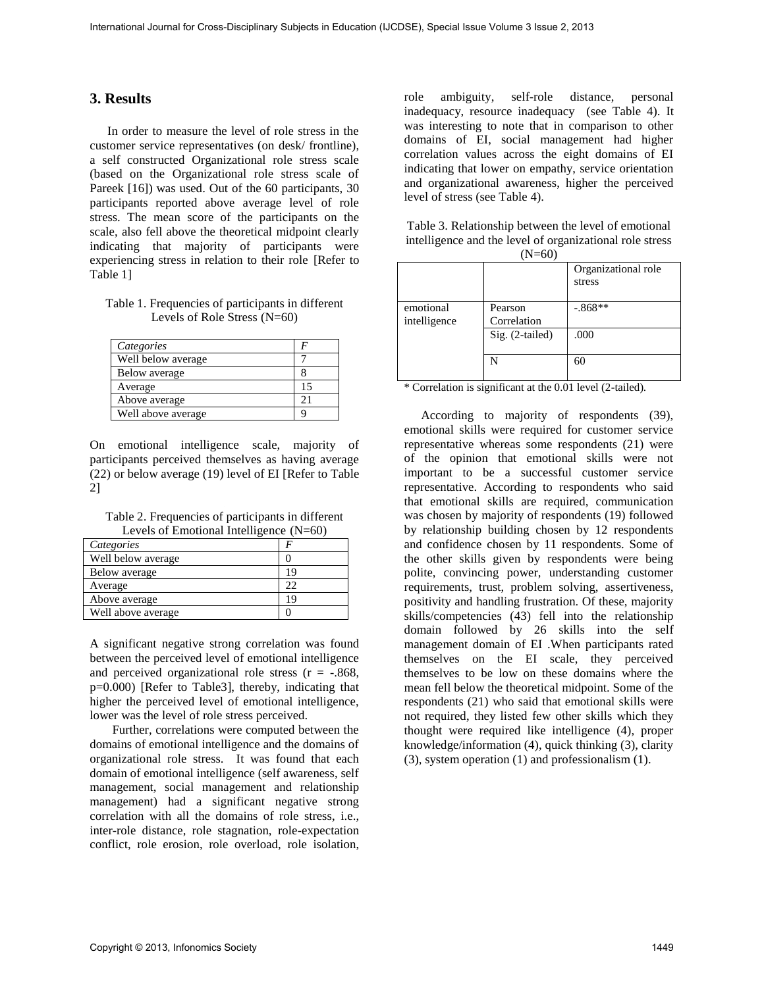# **3. Results**

In order to measure the level of role stress in the customer service representatives (on desk/ frontline), a self constructed Organizational role stress scale (based on the Organizational role stress scale of Pareek [16]) was used. Out of the 60 participants, 30 participants reported above average level of role stress. The mean score of the participants on the scale, also fell above the theoretical midpoint clearly indicating that majority of participants were experiencing stress in relation to their role [Refer to Table 1]

Table 1. Frequencies of participants in different Levels of Role Stress (N=60)

| Categories         |    |
|--------------------|----|
| Well below average |    |
| Below average      |    |
| Average            | 15 |
| Above average      | 21 |
| Well above average |    |

On emotional intelligence scale, majority of participants perceived themselves as having average (22) or below average (19) level of EI [Refer to Table 2]

Table 2. Frequencies of participants in different Levels of Emotional Intelligence (N=60)

| ECVUS OF EMPORTUNISME MICHIGATIC (19–00) |    |  |  |  |
|------------------------------------------|----|--|--|--|
| Categories                               |    |  |  |  |
| Well below average                       |    |  |  |  |
| Below average                            | 19 |  |  |  |
| Average                                  | 22 |  |  |  |
| Above average                            | 19 |  |  |  |
| Well above average                       |    |  |  |  |

A significant negative strong correlation was found between the perceived level of emotional intelligence and perceived organizational role stress  $(r = -.868, ...)$ p=0.000) [Refer to Table3], thereby, indicating that higher the perceived level of emotional intelligence, lower was the level of role stress perceived.

Further, correlations were computed between the domains of emotional intelligence and the domains of organizational role stress. It was found that each domain of emotional intelligence (self awareness, self management, social management and relationship management) had a significant negative strong correlation with all the domains of role stress, i.e., inter-role distance, role stagnation, role-expectation conflict, role erosion, role overload, role isolation, role ambiguity, self-role distance, personal inadequacy, resource inadequacy (see Table 4). It was interesting to note that in comparison to other domains of EI, social management had higher correlation values across the eight domains of EI indicating that lower on empathy, service orientation and organizational awareness, higher the perceived level of stress (see Table 4).

Table 3. Relationship between the level of emotional intelligence and the level of organizational role stress

| $(N=60)$                  |                        |                               |  |  |  |
|---------------------------|------------------------|-------------------------------|--|--|--|
|                           |                        | Organizational role<br>stress |  |  |  |
| emotional<br>intelligence | Pearson<br>Correlation | $-0.868**$                    |  |  |  |
|                           | Sig. (2-tailed)        | .000                          |  |  |  |
|                           | N                      | 60                            |  |  |  |

\* Correlation is significant at the 0.01 level (2-tailed).

According to majority of respondents (39), emotional skills were required for customer service representative whereas some respondents (21) were of the opinion that emotional skills were not important to be a successful customer service representative. According to respondents who said that emotional skills are required, communication was chosen by majority of respondents (19) followed by relationship building chosen by 12 respondents and confidence chosen by 11 respondents. Some of the other skills given by respondents were being polite, convincing power, understanding customer requirements, trust, problem solving, assertiveness, positivity and handling frustration. Of these, majority skills/competencies (43) fell into the relationship domain followed by 26 skills into the self management domain of EI .When participants rated themselves on the EI scale, they perceived themselves to be low on these domains where the mean fell below the theoretical midpoint. Some of the respondents (21) who said that emotional skills were not required, they listed few other skills which they thought were required like intelligence (4), proper knowledge/information (4), quick thinking (3), clarity (3), system operation (1) and professionalism (1). INTERNATION CORRECTION CONSULTER CORRECTION CONSULTER THE CROSS-DISC CONSULTER THE CROSS-DISC CROSS-DISC CONSULTER THE CROSS-DISC CONSULTER CONSULTER CONSULTER CONSULTER CONSULTER CONSULTER CONSULTER CONSULTER CONSULTER C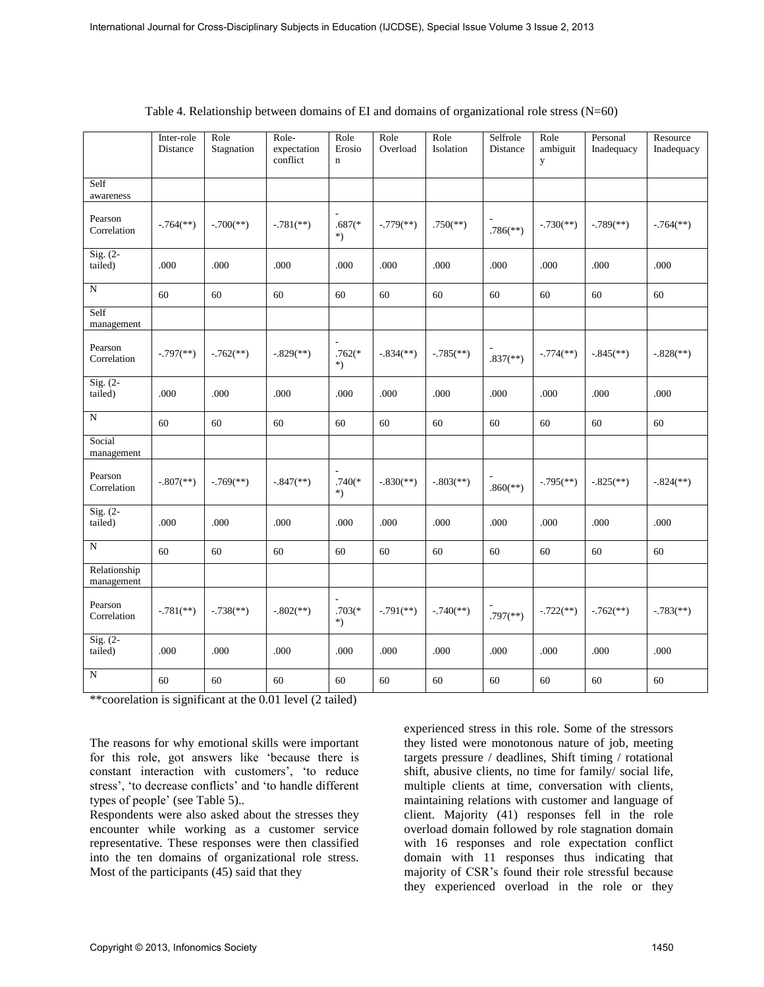|                                                                                                |                                                                                                                                                                                                                                                                                                                                                                                                                                                                                                                                                                                                                                                                                                                                                                                                                                                                                                                                                                                                                                                                                                                                                                                                                                                                              |                           | International Journal for Cross-Disciplinary Subjects in Education (IJCDSE), Special Issue Volume 3 Issue 2, 2013 |                               |                           |                          |                          |                           |                           |                           |
|------------------------------------------------------------------------------------------------|------------------------------------------------------------------------------------------------------------------------------------------------------------------------------------------------------------------------------------------------------------------------------------------------------------------------------------------------------------------------------------------------------------------------------------------------------------------------------------------------------------------------------------------------------------------------------------------------------------------------------------------------------------------------------------------------------------------------------------------------------------------------------------------------------------------------------------------------------------------------------------------------------------------------------------------------------------------------------------------------------------------------------------------------------------------------------------------------------------------------------------------------------------------------------------------------------------------------------------------------------------------------------|---------------------------|-------------------------------------------------------------------------------------------------------------------|-------------------------------|---------------------------|--------------------------|--------------------------|---------------------------|---------------------------|---------------------------|
|                                                                                                |                                                                                                                                                                                                                                                                                                                                                                                                                                                                                                                                                                                                                                                                                                                                                                                                                                                                                                                                                                                                                                                                                                                                                                                                                                                                              |                           |                                                                                                                   |                               |                           |                          |                          |                           |                           |                           |
| Table 4. Relationship between domains of EI and domains of organizational role stress $(N=60)$ |                                                                                                                                                                                                                                                                                                                                                                                                                                                                                                                                                                                                                                                                                                                                                                                                                                                                                                                                                                                                                                                                                                                                                                                                                                                                              |                           |                                                                                                                   |                               |                           |                          |                          |                           |                           |                           |
|                                                                                                | Inter-role<br>Distance                                                                                                                                                                                                                                                                                                                                                                                                                                                                                                                                                                                                                                                                                                                                                                                                                                                                                                                                                                                                                                                                                                                                                                                                                                                       | Role<br>Stagnation        | Role-<br>expectation<br>conflict                                                                                  | Role<br>Erosio<br>$\mathbf n$ | Role<br>Overload          | Role<br>Isolation        | Selfrole<br>Distance     | Role<br>ambiguit<br>y     | Personal<br>Inadequacy    | Resource<br>Inadequacy    |
| Self<br>awareness                                                                              |                                                                                                                                                                                                                                                                                                                                                                                                                                                                                                                                                                                                                                                                                                                                                                                                                                                                                                                                                                                                                                                                                                                                                                                                                                                                              |                           |                                                                                                                   |                               |                           |                          |                          |                           |                           |                           |
| Pearson<br>Correlation                                                                         | $-764$ <sup>**</sup> )                                                                                                                                                                                                                                                                                                                                                                                                                                                                                                                                                                                                                                                                                                                                                                                                                                                                                                                                                                                                                                                                                                                                                                                                                                                       | $-.700$ <sup>**</sup> )   | $-.781$ <sup>**</sup> )                                                                                           | $.687$ <sup>*</sup><br>$*)$   | $-.779$ <sup>(**)</sup> ) | $.750$ <sup>(**)</sup> ) | $.786$ <sup>(**)</sup> ) | $-.730$ <sup>(**)</sup> ) | $-.789$ <sup>**</sup> )   | $-.764$ <sup>(**)</sup> ) |
| Sig. $(2-$<br>tailed)                                                                          | .000                                                                                                                                                                                                                                                                                                                                                                                                                                                                                                                                                                                                                                                                                                                                                                                                                                                                                                                                                                                                                                                                                                                                                                                                                                                                         | .000                      | .000                                                                                                              | .000                          | .000                      | .000                     | .000                     | .000                      | .000                      | .000                      |
| N                                                                                              | 60                                                                                                                                                                                                                                                                                                                                                                                                                                                                                                                                                                                                                                                                                                                                                                                                                                                                                                                                                                                                                                                                                                                                                                                                                                                                           | 60                        | 60                                                                                                                | 60                            | 60                        | 60                       | 60                       | 60                        | 60                        | 60                        |
| Self<br>management                                                                             |                                                                                                                                                                                                                                                                                                                                                                                                                                                                                                                                                                                                                                                                                                                                                                                                                                                                                                                                                                                                                                                                                                                                                                                                                                                                              |                           |                                                                                                                   |                               |                           |                          |                          |                           |                           |                           |
| Pearson<br>Correlation                                                                         | $-.797$ <sup>**</sup> )                                                                                                                                                                                                                                                                                                                                                                                                                                                                                                                                                                                                                                                                                                                                                                                                                                                                                                                                                                                                                                                                                                                                                                                                                                                      | $-.762$ <sup>**</sup> )   | $-.829$ <sup>(**)</sup> )                                                                                         | $.762$ <sup>*</sup><br>$*)$   | $-.834$ <sup>(**)</sup> ) | $-.785$ <sup>**</sup> )  | $.837$ <sup>(**)</sup> ) | $-.774$ <sup>(**)</sup> ) | $-.845$ <sup>(**)</sup> ) | $-.828$ <sup>(**)</sup> ) |
| Sig. $(2-$<br>tailed)                                                                          | .000                                                                                                                                                                                                                                                                                                                                                                                                                                                                                                                                                                                                                                                                                                                                                                                                                                                                                                                                                                                                                                                                                                                                                                                                                                                                         | .000                      | .000                                                                                                              | .000                          | .000                      | .000                     | .000                     | .000                      | .000                      | .000                      |
| N                                                                                              | 60                                                                                                                                                                                                                                                                                                                                                                                                                                                                                                                                                                                                                                                                                                                                                                                                                                                                                                                                                                                                                                                                                                                                                                                                                                                                           | 60                        | 60                                                                                                                | 60                            | 60                        | 60                       | 60                       | 60                        | 60                        | 60                        |
| Social<br>management                                                                           |                                                                                                                                                                                                                                                                                                                                                                                                                                                                                                                                                                                                                                                                                                                                                                                                                                                                                                                                                                                                                                                                                                                                                                                                                                                                              |                           |                                                                                                                   |                               |                           |                          |                          |                           |                           |                           |
| Pearson<br>Correlation                                                                         | $-.807$ <sup>**</sup> )                                                                                                                                                                                                                                                                                                                                                                                                                                                                                                                                                                                                                                                                                                                                                                                                                                                                                                                                                                                                                                                                                                                                                                                                                                                      | $-.769$ <sup>**</sup> )   | $-.847$ <sup>**</sup> )                                                                                           | $.740(*$<br>$*)$              | $-.830(**)$               | $-.803$ <sup>**</sup> )  | $.860$ <sup>(**)</sup> ) | $-.795$ <sup>(**)</sup> ) | $-.825$ <sup>**</sup> )   | $-.824$ <sup>(**)</sup> ) |
| $Sig. (2-$<br>tailed)                                                                          | .000                                                                                                                                                                                                                                                                                                                                                                                                                                                                                                                                                                                                                                                                                                                                                                                                                                                                                                                                                                                                                                                                                                                                                                                                                                                                         | .000                      | .000                                                                                                              | .000                          | .000                      | .000                     | .000                     | .000                      | .000                      | .000                      |
| N                                                                                              | 60                                                                                                                                                                                                                                                                                                                                                                                                                                                                                                                                                                                                                                                                                                                                                                                                                                                                                                                                                                                                                                                                                                                                                                                                                                                                           | 60                        | 60                                                                                                                | 60                            | 60                        | 60                       | 60                       | 60                        | 60                        | 60                        |
| Relationship<br>management                                                                     |                                                                                                                                                                                                                                                                                                                                                                                                                                                                                                                                                                                                                                                                                                                                                                                                                                                                                                                                                                                                                                                                                                                                                                                                                                                                              |                           |                                                                                                                   |                               |                           |                          |                          |                           |                           |                           |
| Pearson<br>Correlation                                                                         | $-.781$ <sup>**</sup> )                                                                                                                                                                                                                                                                                                                                                                                                                                                                                                                                                                                                                                                                                                                                                                                                                                                                                                                                                                                                                                                                                                                                                                                                                                                      | $-.738$ <sup>(**)</sup> ) | $-802$ <sup>**</sup> )                                                                                            | $.703$ <sup>*</sup><br>$*)$   | $-791$ <sup>**</sup> )    | $-.740$ <sup>**</sup> )  | $.797$ <sup>(**)</sup> ) | $-722$ <sup>**</sup> )    | $-.762$ <sup>**</sup> )   | $-.783$ <sup>(**)</sup> ) |
| Sig. (2-<br>tailed)                                                                            | .000                                                                                                                                                                                                                                                                                                                                                                                                                                                                                                                                                                                                                                                                                                                                                                                                                                                                                                                                                                                                                                                                                                                                                                                                                                                                         | .000                      | .000                                                                                                              | .000                          | .000                      | .000                     | .000                     | .000                      | .000                      | .000                      |
| N                                                                                              | 60                                                                                                                                                                                                                                                                                                                                                                                                                                                                                                                                                                                                                                                                                                                                                                                                                                                                                                                                                                                                                                                                                                                                                                                                                                                                           | 60                        | 60                                                                                                                | 60                            | 60                        | 60                       | 60                       | 60                        | 60                        | 60                        |
|                                                                                                | ** coordation is significant at the 0.01 level (2 tailed)<br>experienced stress in this role. Some of the stressors<br>they listed were monotonous nature of job, meeting<br>The reasons for why emotional skills were important<br>for this role, got answers like 'because there is<br>targets pressure / deadlines, Shift timing / rotational<br>constant interaction with customers', 'to reduce<br>shift, abusive clients, no time for family/ social life,<br>stress', 'to decrease conflicts' and 'to handle different<br>multiple clients at time, conversation with clients,<br>types of people' (see Table 5)<br>maintaining relations with customer and language of<br>Respondents were also asked about the stresses they<br>client. Majority (41) responses fell in the role<br>overload domain followed by role stagnation domain<br>encounter while working as a customer service<br>representative. These responses were then classified<br>with 16 responses and role expectation conflict<br>into the ten domains of organizational role stress.<br>domain with 11 responses thus indicating that<br>majority of CSR's found their role stressful because<br>Most of the participants (45) said that they<br>they experienced overload in the role or they |                           |                                                                                                                   |                               |                           |                          |                          |                           |                           |                           |
| Copyright © 2013, Infonomics Society                                                           |                                                                                                                                                                                                                                                                                                                                                                                                                                                                                                                                                                                                                                                                                                                                                                                                                                                                                                                                                                                                                                                                                                                                                                                                                                                                              |                           |                                                                                                                   |                               |                           |                          |                          |                           |                           | 1450                      |

| Table 4. Relationship between domains of EI and domains of organizational role stress (N=60) |  |  |  |
|----------------------------------------------------------------------------------------------|--|--|--|
|----------------------------------------------------------------------------------------------|--|--|--|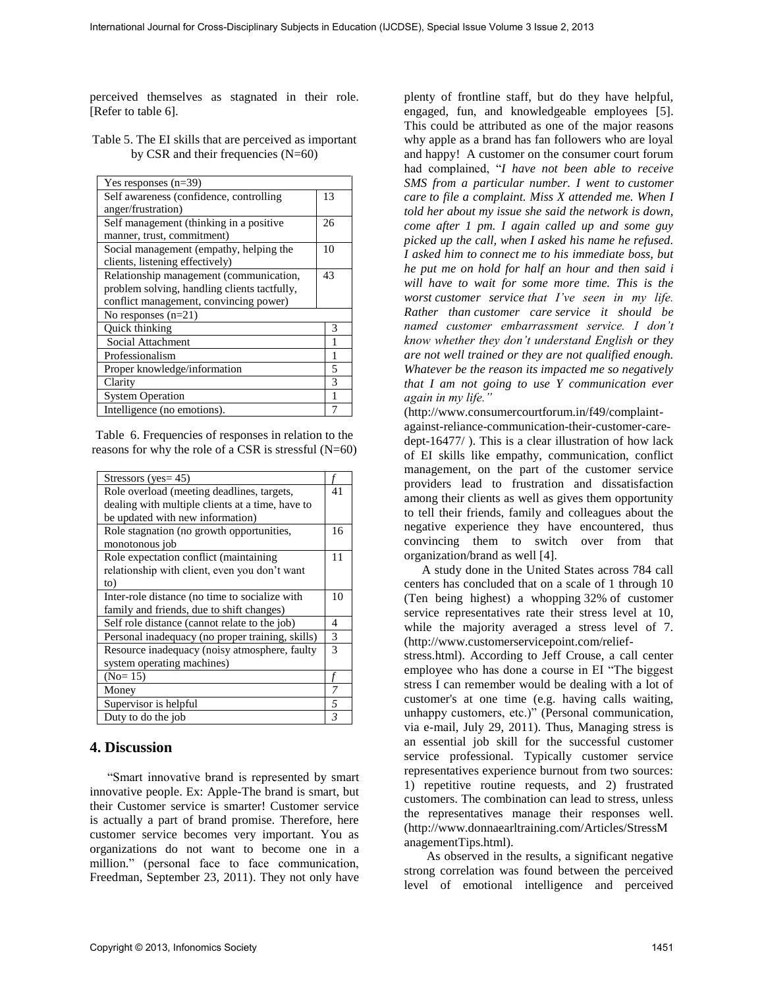perceived themselves as stagnated in their role. [Refer to table 6].

| Table 5. The EI skills that are perceived as important |
|--------------------------------------------------------|
| by CSR and their frequencies $(N=60)$                  |

| Yes responses $(n=39)$                         |    |
|------------------------------------------------|----|
| Self awareness (confidence, controlling)<br>13 |    |
| anger/frustration)                             |    |
| Self management (thinking in a positive        | 26 |
| manner, trust, commitment)                     |    |
| Social management (empathy, helping the        | 10 |
| clients, listening effectively)                |    |
| Relationship management (communication,        | 43 |
| problem solving, handling clients tactfully,   |    |
| conflict management, convincing power)         |    |
| No responses $(n=21)$                          |    |
| Quick thinking                                 | 3  |
| Social Attachment                              |    |
| Professionalism                                | 1  |
| Proper knowledge/information                   | 5  |
| Clarity                                        | 3  |
| <b>System Operation</b>                        | 1  |
| Intelligence (no emotions).                    |    |

Table 6. Frequencies of responses in relation to the reasons for why the role of a CSR is stressful  $(N=60)$ 

| Stressors (yes = $45$ )                          |                         |
|--------------------------------------------------|-------------------------|
| Role overload (meeting deadlines, targets,       | 41                      |
| dealing with multiple clients at a time, have to |                         |
| be updated with new information)                 |                         |
| Role stagnation (no growth opportunities,        | 16                      |
| monotonous job                                   |                         |
| Role expectation conflict (maintaining           | 11                      |
| relationship with client, even you don't want    |                         |
| to)                                              |                         |
| Inter-role distance (no time to socialize with   | 10                      |
| family and friends, due to shift changes)        |                         |
| Self role distance (cannot relate to the job)    | 4                       |
| Personal inadequacy (no proper training, skills) | 3                       |
| Resource inadequacy (noisy atmosphere, faulty    | 3                       |
| system operating machines)                       |                         |
| $(No=15)$                                        |                         |
| Money                                            |                         |
| Supervisor is helpful                            | 5                       |
| Duty to do the job                               | $\overline{\mathbf{3}}$ |

# **4. Discussion**

"Smart innovative brand is represented by smart innovative people. Ex: Apple-The brand is smart, but their Customer service is smarter! Customer service is actually a part of brand promise. Therefore, here customer service becomes very important. You as organizations do not want to become one in a million." (personal face to face communication, Freedman, September 23, 2011). They not only have

plenty of frontline staff, but do they have helpful, engaged, fun, and knowledgeable employees [5]. This could be attributed as one of the major reasons why apple as a brand has fan followers who are loyal and happy! A customer on the consumer court forum had complained, "*I have not been able to receive SMS from a particular number. I went to customer care to file a complaint. Miss X attended me. When I told her about my issue she said the network is down, come after 1 pm. I again called up and some guy picked up the call, when I asked his name he refused. I asked him to connect me to his immediate boss, but he put me on hold for half an hour and then said i will have to wait for some more time. This is the worst customer service that I've seen in my life. Rather than customer care service it should be named customer embarrassment service. I don't know whether they don't understand English or they are not well trained or they are not qualified enough. Whatever be the reason its impacted me so negatively that I am not going to use Y communication ever again in my life."* International Journal for the Coron Cross-Discrime international Form of the Cross-Disciplinary Subjects in Equinometric international Form of the Cross-Discrime international Form of the Cross-Disciplinary Subjects in Eq

[\(http://www.consumercourtforum.in/f49/complaint-](http://www.consumercourtforum.in/f49/complaint-against-reliance-communication-their-customer-care-dept-16477/)

[against-reliance-communication-their-customer-care](http://www.consumercourtforum.in/f49/complaint-against-reliance-communication-their-customer-care-dept-16477/)dept-16477/ ). This is a clear illustration of how lack of EI skills like empathy, communication, conflict management, on the part of the customer service providers lead to frustration and dissatisfaction among their clients as well as gives them opportunity to tell their friends, family and colleagues about the negative experience they have encountered, thus convincing them to switch over from that organization/brand as well [4].

A study done in the United States across 784 call centers has concluded that on a scale of 1 through 10 (Ten being highest) a whopping 32% of customer service representatives rate their stress level at 10, while the majority averaged a stress level of 7. [\(http://www.customerservicepoint.com/relief-](http://www.customerservicepoint.com/relief-stress.html)

stress.html). According to Jeff Crouse, a call center employee who has done a course in EI "The biggest stress I can remember would be dealing with a lot of customer's at one time (e.g. having calls waiting, unhappy customers, etc.)" (Personal communication, via e-mail, July 29, 2011). Thus, Managing stress is an essential job skill for the successful customer service professional. Typically customer service representatives experience burnout from two sources: 1) repetitive routine requests, and 2) frustrated customers. The combination can lead to stress, unless the representatives manage their responses well. [\(http://www.donnaearltraining.com/Articles/StressM](http://www.donnaearltraining.com/Articles/StressManagementTips.html) anagementTips.html).

As observed in the results, a significant negative strong correlation was found between the perceived level of emotional intelligence and perceived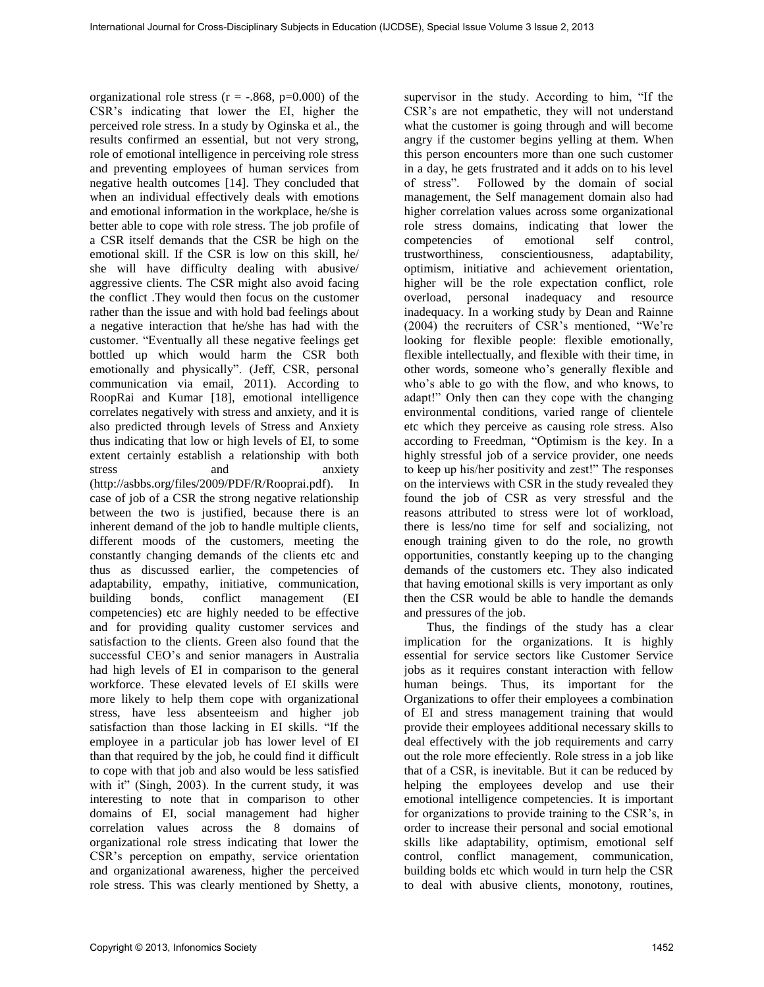organizational role stress ( $r = -.868$ ,  $p=0.000$ ) of the CSR's indicating that lower the EI, higher the perceived role stress. In a study by Oginska et al., the results confirmed an essential, but not very strong, role of emotional intelligence in perceiving role stress and preventing employees of human services from negative health outcomes [14]. They concluded that when an individual effectively deals with emotions and emotional information in the workplace, he/she is better able to cope with role stress. The job profile of a CSR itself demands that the CSR be high on the emotional skill. If the CSR is low on this skill, he/ she will have difficulty dealing with abusive/ aggressive clients. The CSR might also avoid facing the conflict .They would then focus on the customer rather than the issue and with hold bad feelings about a negative interaction that he/she has had with the customer. "Eventually all these negative feelings get bottled up which would harm the CSR both emotionally and physically". (Jeff, CSR, personal communication via email, 2011). According to RoopRai and Kumar [18], emotional intelligence correlates negatively with stress and anxiety, and it is also predicted through levels of Stress and Anxiety thus indicating that low or high levels of EI, to some extent certainly establish a relationship with both stress and anxiety (http://asbbs.org/files/2009/PDF/R/Rooprai.pdf). In case of job of a CSR the strong negative relationship between the two is justified, because there is an inherent demand of the job to handle multiple clients, different moods of the customers, meeting the constantly changing demands of the clients etc and thus as discussed earlier, the competencies of adaptability, empathy, initiative, communication, building bonds, conflict management (EI competencies) etc are highly needed to be effective and for providing quality customer services and satisfaction to the clients. Green also found that the successful CEO's and senior managers in Australia had high levels of EI in comparison to the general workforce. These elevated levels of EI skills were more likely to help them cope with organizational stress, have less absenteeism and higher job satisfaction than those lacking in EI skills. "If the employee in a particular job has lower level of EI than that required by the job, he could find it difficult to cope with that job and also would be less satisfied with it" (Singh, 2003). In the current study, it was interesting to note that in comparison to other domains of EI, social management had higher correlation values across the 8 domains of organizational role stress indicating that lower the CSR's perception on empathy, service orientation and organizational awareness, higher the perceived role stress. This was clearly mentioned by Shetty, a International Journal for Cross-Discipline (Special Cross-Disciplinary international Journal of the CROSS-Disciplinary Subjects in the CROSS-Disciplinary of the CROSS-Disciplinary Cross-Disciplinary Cross-Disciplinary Cro

supervisor in the study. According to him, "If the CSR's are not empathetic, they will not understand what the customer is going through and will become angry if the customer begins yelling at them. When this person encounters more than one such customer in a day, he gets frustrated and it adds on to his level of stress". Followed by the domain of social management, the Self management domain also had higher correlation values across some organizational role stress domains, indicating that lower the competencies of emotional self control, trustworthiness, conscientiousness, adaptability, optimism, initiative and achievement orientation, higher will be the role expectation conflict, role overload, personal inadequacy and resource inadequacy. In a working study by Dean and Rainne (2004) the recruiters of CSR's mentioned, "We're looking for flexible people: flexible emotionally, flexible intellectually, and flexible with their time, in other words, someone who's generally flexible and who's able to go with the flow, and who knows, to adapt!" Only then can they cope with the changing environmental conditions, varied range of clientele etc which they perceive as causing role stress. Also according to Freedman, "Optimism is the key. In a highly stressful job of a service provider, one needs to keep up his/her positivity and zest!" The responses on the interviews with CSR in the study revealed they found the job of CSR as very stressful and the reasons attributed to stress were lot of workload, there is less/no time for self and socializing, not enough training given to do the role, no growth opportunities, constantly keeping up to the changing demands of the customers etc. They also indicated that having emotional skills is very important as only then the CSR would be able to handle the demands and pressures of the job.

Thus, the findings of the study has a clear implication for the organizations. It is highly essential for service sectors like Customer Service jobs as it requires constant interaction with fellow human beings. Thus, its important for the Organizations to offer their employees a combination of EI and stress management training that would provide their employees additional necessary skills to deal effectively with the job requirements and carry out the role more effeciently. Role stress in a job like that of a CSR, is inevitable. But it can be reduced by helping the employees develop and use their emotional intelligence competencies. It is important for organizations to provide training to the CSR's, in order to increase their personal and social emotional skills like adaptability, optimism, emotional self control, conflict management, communication, building bolds etc which would in turn help the CSR to deal with abusive clients, monotony, routines,